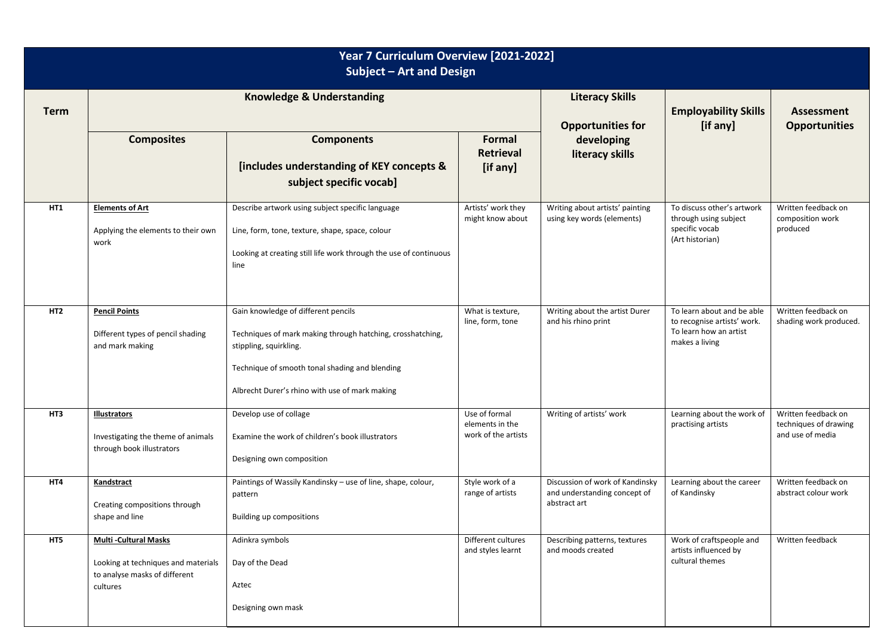| Year 7 Curriculum Overview [2021-2022]<br>Subject - Art and Design |                                                                                                                 |                                                                                                                                                                                                                                 |                                                         |                                                                                 |                                                                                                       |                                                                  |  |  |  |  |
|--------------------------------------------------------------------|-----------------------------------------------------------------------------------------------------------------|---------------------------------------------------------------------------------------------------------------------------------------------------------------------------------------------------------------------------------|---------------------------------------------------------|---------------------------------------------------------------------------------|-------------------------------------------------------------------------------------------------------|------------------------------------------------------------------|--|--|--|--|
| <b>Term</b>                                                        | <b>Knowledge &amp; Understanding</b>                                                                            |                                                                                                                                                                                                                                 |                                                         | <b>Literacy Skills</b><br><b>Opportunities for</b>                              | <b>Employability Skills</b><br>[if any]                                                               | Assessment<br><b>Opportunities</b>                               |  |  |  |  |
|                                                                    | <b>Composites</b>                                                                                               | <b>Components</b><br>[includes understanding of KEY concepts &<br>subject specific vocab]                                                                                                                                       | Formal<br><b>Retrieval</b><br>[if any]                  | developing<br>literacy skills                                                   |                                                                                                       |                                                                  |  |  |  |  |
| HT1                                                                | <b>Elements of Art</b><br>Applying the elements to their own<br>work                                            | Describe artwork using subject specific language<br>Line, form, tone, texture, shape, space, colour<br>Looking at creating still life work through the use of continuous<br>line                                                | Artists' work they<br>might know about                  | Writing about artists' painting<br>using key words (elements)                   | To discuss other's artwork<br>through using subject<br>specific vocab<br>(Art historian)              | Written feedback on<br>composition work<br>produced              |  |  |  |  |
| HT <sub>2</sub>                                                    | <b>Pencil Points</b><br>Different types of pencil shading<br>and mark making                                    | Gain knowledge of different pencils<br>Techniques of mark making through hatching, crosshatching,<br>stippling, squirkling.<br>Technique of smooth tonal shading and blending<br>Albrecht Durer's rhino with use of mark making | What is texture,<br>line, form, tone                    | Writing about the artist Durer<br>and his rhino print                           | To learn about and be able<br>to recognise artists' work.<br>To learn how an artist<br>makes a living | Written feedback on<br>shading work produced.                    |  |  |  |  |
| HT3                                                                | <b>Illustrators</b><br>Investigating the theme of animals<br>through book illustrators                          | Develop use of collage<br>Examine the work of children's book illustrators<br>Designing own composition                                                                                                                         | Use of formal<br>elements in the<br>work of the artists | Writing of artists' work                                                        | Learning about the work of<br>practising artists                                                      | Written feedback on<br>techniques of drawing<br>and use of media |  |  |  |  |
| HT4                                                                | Kandstract<br>Creating compositions through<br>shape and line                                                   | Paintings of Wassily Kandinsky - use of line, shape, colour,<br>pattern<br>Building up compositions                                                                                                                             | Style work of a<br>range of artists                     | Discussion of work of Kandinsky<br>and understanding concept of<br>abstract art | Learning about the career<br>of Kandinsky                                                             | Written feedback on<br>abstract colour work                      |  |  |  |  |
| HT5                                                                | <b>Multi-Cultural Masks</b><br>Looking at techniques and materials<br>to analyse masks of different<br>cultures | Adinkra symbols<br>Day of the Dead<br>Aztec<br>Designing own mask                                                                                                                                                               | Different cultures<br>and styles learnt                 | Describing patterns, textures<br>and moods created                              | Work of craftspeople and<br>artists influenced by<br>cultural themes                                  | Written feedback                                                 |  |  |  |  |